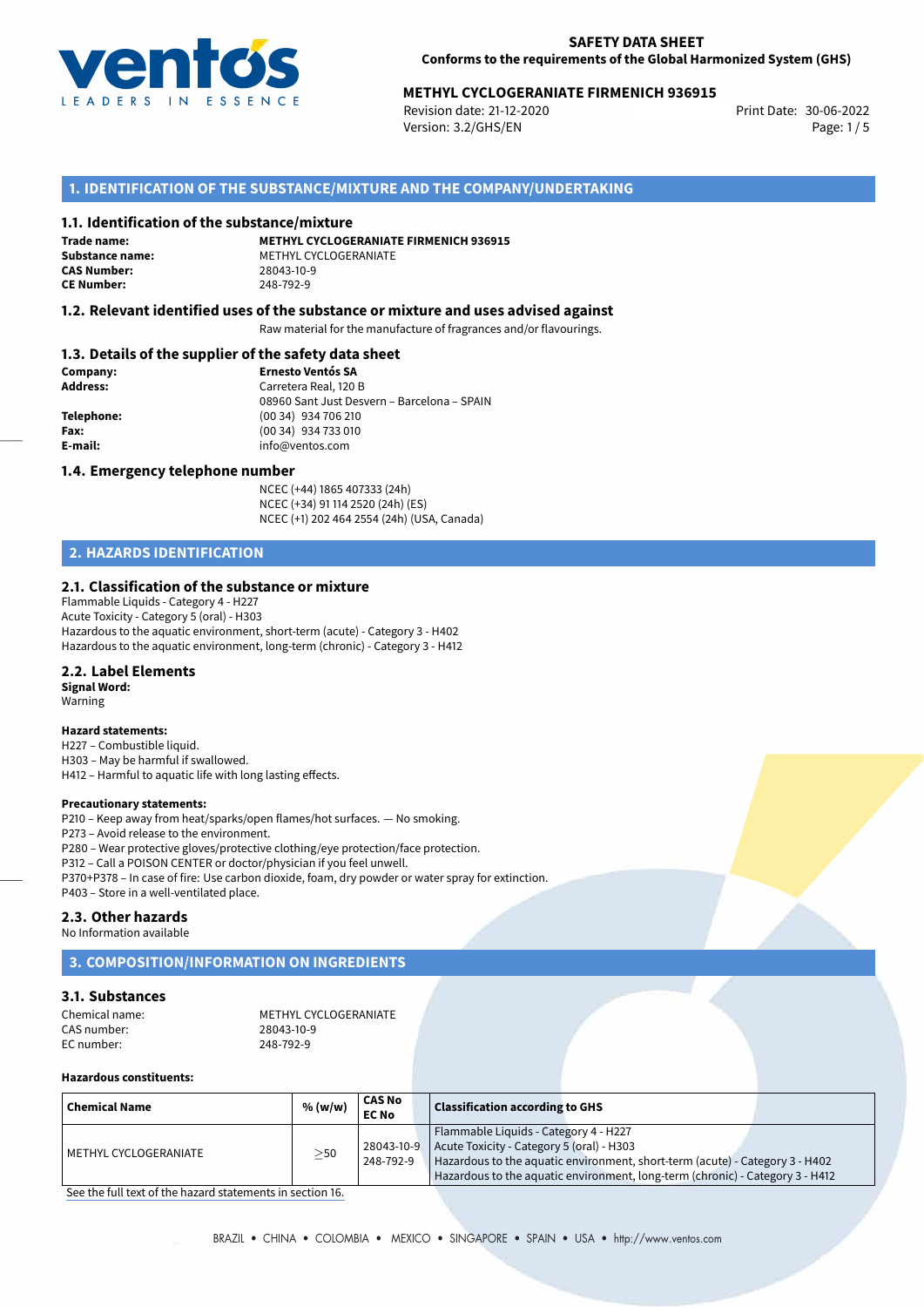

# **METHYL CYCLOGERANIATE FIRMENICH 936915**<br>Revision date: 21-12-2020

Revision date: 21-12-2020 Version: 3.2/GHS/EN Page: 1/5

# **1. IDENTIFICATION OF THE SUBSTANCE/MIXTURE AND THE COMPANY/UNDERTAKING**

### **1.1. Identification of the substance/mixture**

**Trade name: CAS Number: CE Number:** 248-792-9

**METHYL CYCLOGERANIATE FIRMENICH 936915 Substance name:** METHYL CYCLOGERANIATE<br> **CAS Number:** 28043-10-9

## **1.2. Relevant identified uses of the substance or mixture and uses advised against**

Raw material for the manufacture of fragrances and/or flavourings.

## **1.3. Details of the supplier of the safety data sheet**

| Company:   | <b>Ernesto Ventós SA</b>                    |  |  |  |  |
|------------|---------------------------------------------|--|--|--|--|
| Address:   | Carretera Real, 120 B                       |  |  |  |  |
|            | 08960 Sant Just Desvern - Barcelona - SPAIN |  |  |  |  |
| Telephone: | (00 34) 934 706 210                         |  |  |  |  |
| Fax:       | (00 34) 934 733 010                         |  |  |  |  |
| E-mail:    | info@ventos.com                             |  |  |  |  |
|            |                                             |  |  |  |  |

#### **1.4. Emergency telephone number**

NCEC (+44) 1865 407333 (24h) NCEC (+34) 91 114 2520 (24h) (ES) NCEC (+1) 202 464 2554 (24h) (USA, Canada)

# **2. HAZARDS IDENTIFICATION**

#### **2.1. Classification of the substance or mixture**

Flammable Liquids - Category 4 - H227 Acute Toxicity - Category 5 (oral) - H303 Hazardous to the aquatic environment, short-term (acute) - Category 3 - H402 Hazardous to the aquatic environment, long-term (chronic) - Category 3 - H412

### **2.2. Label Elements**

**Signal Word:** Warning

#### **Hazard statements:**

H227 – Combustible liquid. H303 – May be harmful if swallowed. H412 – Harmful to aquatic life with long lasting effects.

#### **Precautionary statements:**

P210 – Keep away from heat/sparks/open flames/hot surfaces. — No smoking. P273 – Avoid release to the environment. P280 – Wear protective gloves/protective clothing/eye protection/face protection.

P312 – Call a POISON CENTER or doctor/physician if you feel unwell.

- P370+P378 In case of fire: Use carbon dioxide, foam, dry powder or water spray for extinction.
- P403 Store in a well-ventilated place.

## **2.3. Other hazards**

No Information available

# **3. COMPOSITION/INFORMATION ON INGREDIENTS**

# **3.1. Substances**

| Chemical name: | METHYL CYCLOGERANIATE |
|----------------|-----------------------|
| CAS number:    | 28043-10-9            |
| EC number:     | 248-792-9             |

## **Hazardous constituents:**

| ' Chemical Name         | % (w/w)   | CAS No<br><b>EC No</b> | <b>Classification according to GHS</b>                                                                                                                                                                                                                           |
|-------------------------|-----------|------------------------|------------------------------------------------------------------------------------------------------------------------------------------------------------------------------------------------------------------------------------------------------------------|
| l METHYL CYCLOGERANIATE | $\geq$ 50 | 248-792-9              | Flammable Liquids - Category 4 - H227<br>$28043-10-9$ Acute Toxicity - Category 5 (oral) - H303<br>Hazardous to the aquatic environment, short-term (acute) - Category 3 - H402<br>Hazardous to the aquatic environment, long-term (chronic) - Category 3 - H412 |

[See the full text of the hazard statements in section 16.](#page--1-0)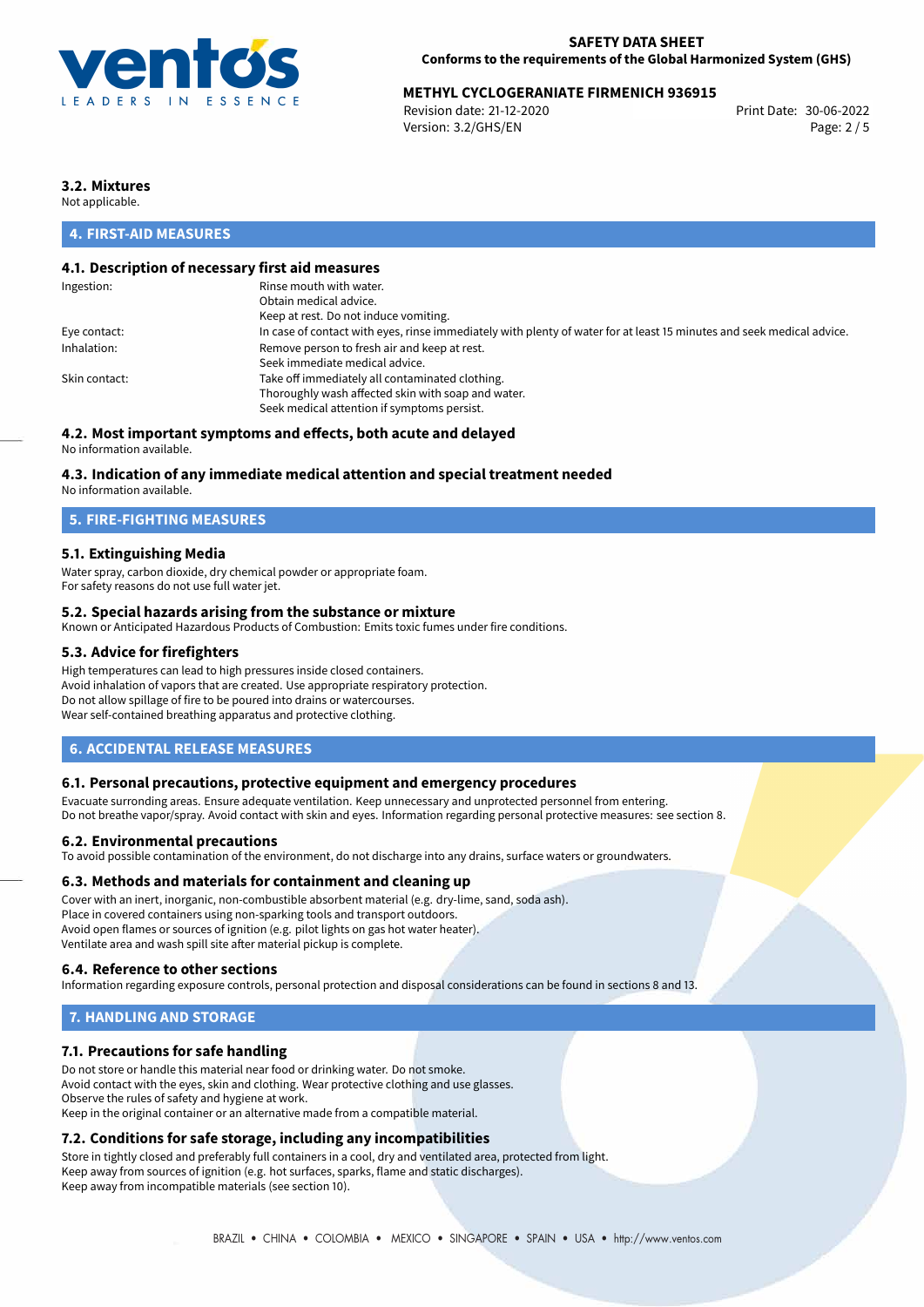

# **METHYL CYCLOGERANIATE FIRMENICH 936915**<br>Revision date: 21-12-2020

Revision date: 21-12-2020 Version: 3.2/GHS/EN Page: 2 / 5

# **3.2. Mixtures**

Not applicable.

# **4. FIRST-AID MEASURES**

# **4.1. Description of necessary first aid measures**

| Rinse mouth with water.                                                                                               |
|-----------------------------------------------------------------------------------------------------------------------|
| Obtain medical advice.                                                                                                |
| Keep at rest. Do not induce vomiting.                                                                                 |
| In case of contact with eyes, rinse immediately with plenty of water for at least 15 minutes and seek medical advice. |
| Remove person to fresh air and keep at rest.                                                                          |
| Seek immediate medical advice.                                                                                        |
| Take off immediately all contaminated clothing.                                                                       |
| Thoroughly wash affected skin with soap and water.                                                                    |
| Seek medical attention if symptoms persist.                                                                           |
|                                                                                                                       |

# **4.2. Most important symptoms and effects, both acute and delayed**

No information available.

## **4.3. Indication of any immediate medical attention and special treatment needed**

No information available.

# **5. FIRE-FIGHTING MEASURES**

## **5.1. Extinguishing Media**

Water spray, carbon dioxide, dry chemical powder or appropriate foam. For safety reasons do not use full water jet.

## **5.2. Special hazards arising from the substance or mixture**

Known or Anticipated Hazardous Products of Combustion: Emits toxic fumes under fire conditions.

## **5.3. Advice for firefighters**

High temperatures can lead to high pressures inside closed containers. Avoid inhalation of vapors that are created. Use appropriate respiratory protection. Do not allow spillage of fire to be poured into drains or watercourses. Wear self-contained breathing apparatus and protective clothing.

## **6. ACCIDENTAL RELEASE MEASURES**

### **6.1. Personal precautions, protective equipment and emergency procedures**

Evacuate surronding areas. Ensure adequate ventilation. Keep unnecessary and unprotected personnel from entering. Do not breathe vapor/spray. Avoid contact with skin and eyes. Information regarding personal protective measures: see section 8.

#### **6.2. Environmental precautions**

To avoid possible contamination of the environment, do not discharge into any drains, surface waters or groundwaters.

#### **6.3. Methods and materials for containment and cleaning up**

Cover with an inert, inorganic, non-combustible absorbent material (e.g. dry-lime, sand, soda ash). Place in covered containers using non-sparking tools and transport outdoors. Avoid open flames or sources of ignition (e.g. pilot lights on gas hot water heater). Ventilate area and wash spill site after material pickup is complete.

## **6.4. Reference to other sections**

Information regarding exposure controls, personal protection and disposal considerations can be found in sections 8 and 13.

# **7. HANDLING AND STORAGE**

## **7.1. Precautions for safe handling**

Do not store or handle this material near food or drinking water. Do not smoke. Avoid contact with the eyes, skin and clothing. Wear protective clothing and use glasses. Observe the rules of safety and hygiene at work. Keep in the original container or an alternative made from a compatible material.

# **7.2. Conditions for safe storage, including any incompatibilities**

Store in tightly closed and preferably full containers in a cool, dry and ventilated area, protected from light. Keep away from sources of ignition (e.g. hot surfaces, sparks, flame and static discharges). Keep away from incompatible materials (see section 10).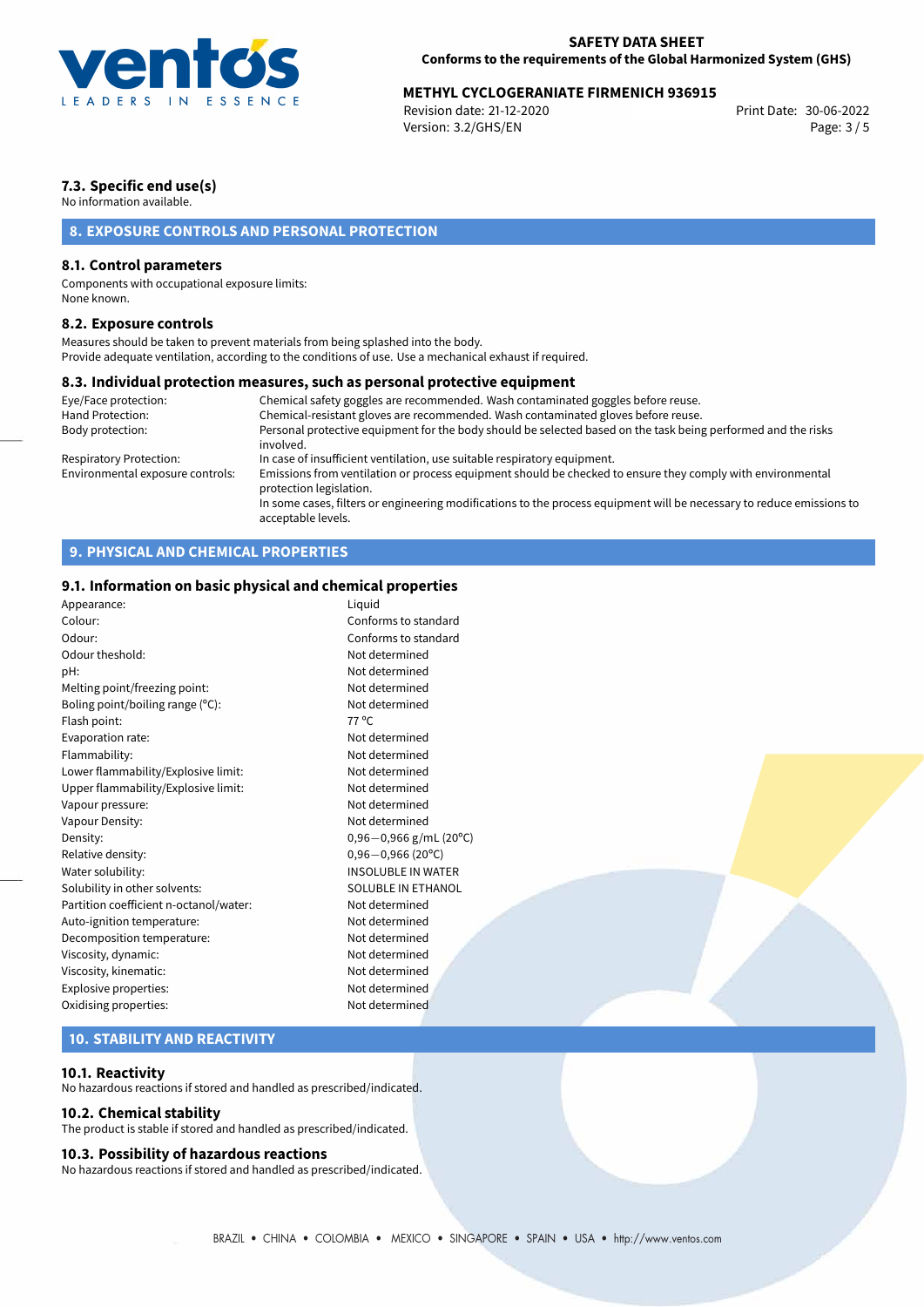

# **METHYL CYCLOGERANIATE FIRMENICH 936915**<br>Revision date: 21-12-2020 Print Date: 30-06-2022

Revision date: 21-12-2020 Version: 3.2/GHS/EN Page: 3 / 5

# **7.3. Specific end use(s)**

No information available.

# **8. EXPOSURE CONTROLS AND PERSONAL PROTECTION**

## **8.1. Control parameters**

Components with occupational exposure limits: None known.

### **8.2. Exposure controls**

Measures should be taken to prevent materials from being splashed into the body. Provide adequate ventilation, according to the conditions of use. Use a mechanical exhaust if required.

#### **8.3. Individual protection measures, such as personal protective equipment**

| Eye/Face protection:             | Chemical safety goggles are recommended. Wash contaminated goggles before reuse.                                                            |
|----------------------------------|---------------------------------------------------------------------------------------------------------------------------------------------|
| Hand Protection:                 | Chemical-resistant gloves are recommended. Wash contaminated gloves before reuse.                                                           |
| Body protection:                 | Personal protective equipment for the body should be selected based on the task being performed and the risks<br>involved.                  |
| Respiratory Protection:          | In case of insufficient ventilation, use suitable respiratory equipment.                                                                    |
| Environmental exposure controls: | Emissions from ventilation or process equipment should be checked to ensure they comply with environmental<br>protection legislation.       |
|                                  | In some cases, filters or engineering modifications to the process equipment will be necessary to reduce emissions to<br>acceptable levels. |

# **9. PHYSICAL AND CHEMICAL PROPERTIES**

# **9.1. Information on basic physical and chemical properties**

| Appearance:                            | Liguid                     |
|----------------------------------------|----------------------------|
| Colour:                                | Conforms to standard       |
| Odour:                                 | Conforms to standard       |
| Odour theshold:                        | Not determined             |
| pH:                                    | Not determined             |
| Melting point/freezing point:          | Not determined             |
| Boling point/boiling range (°C):       | Not determined             |
| Flash point:                           | $77^{\circ}$ C             |
| Evaporation rate:                      | Not determined             |
| Flammability:                          | Not determined             |
| Lower flammability/Explosive limit:    | Not determined             |
| Upper flammability/Explosive limit:    | Not determined             |
| Vapour pressure:                       | Not determined             |
| Vapour Density:                        | Not determined             |
| Density:                               | $0,96 - 0,966$ g/mL (20°C) |
| Relative density:                      | $0,96 - 0,966$ (20°C)      |
| Water solubility:                      | <b>INSOLUBLE IN WATER</b>  |
| Solubility in other solvents:          | SOLUBLE IN ETHANOL         |
| Partition coefficient n-octanol/water: | Not determined             |
| Auto-ignition temperature:             | Not determined             |
| Decomposition temperature:             | Not determined             |
| Viscosity, dynamic:                    | Not determined             |
| Viscosity, kinematic:                  | Not determined             |
| Explosive properties:                  | Not determined             |
| Oxidising properties:                  | Not determined             |
|                                        |                            |

# **10. STABILITY AND REACTIVITY**

### **10.1. Reactivity**

No hazardous reactions if stored and handled as prescribed/indicated.

## **10.2. Chemical stability**

The product is stable if stored and handled as prescribed/indicated.

#### **10.3. Possibility of hazardous reactions**

No hazardous reactions if stored and handled as prescribed/indicated.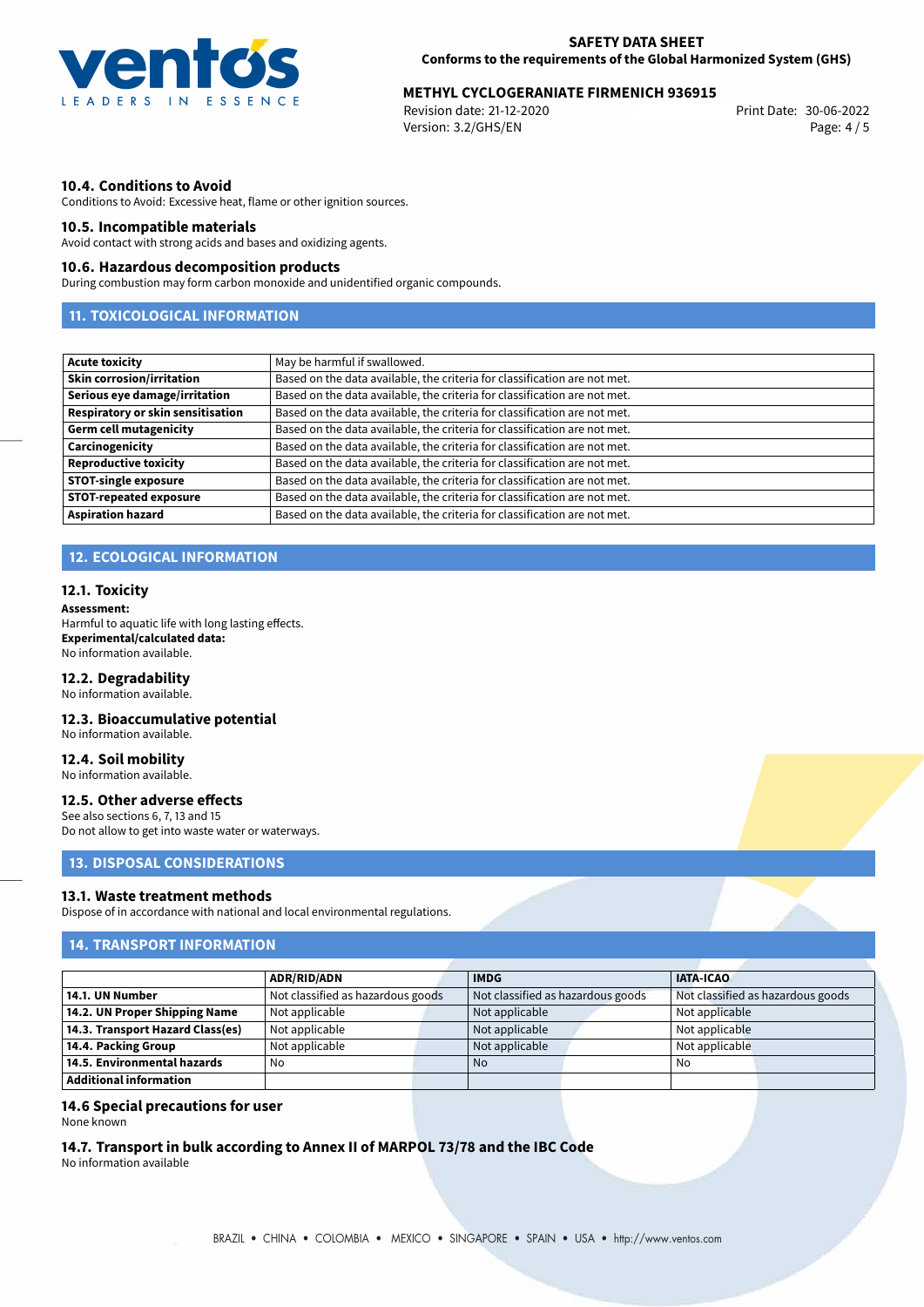

# **METHYL CYCLOGERANIATE FIRMENICH 936915**<br>2006-2022 Print Date: 30-06-2022

Revision date: 21-12-2020 Version: 3.2/GHS/EN Page: 4 / 5

# **10.4. Conditions to Avoid**

Conditions to Avoid: Excessive heat, flame or other ignition sources.

## **10.5. Incompatible materials**

Avoid contact with strong acids and bases and oxidizing agents.

## **10.6. Hazardous decomposition products**

During combustion may form carbon monoxide and unidentified organic compounds.

# **11. TOXICOLOGICAL INFORMATION**

| Acute toxicity                    | May be harmful if swallowed.                                              |
|-----------------------------------|---------------------------------------------------------------------------|
| <b>Skin corrosion/irritation</b>  | Based on the data available, the criteria for classification are not met. |
| Serious eye damage/irritation     | Based on the data available, the criteria for classification are not met. |
| Respiratory or skin sensitisation | Based on the data available, the criteria for classification are not met. |
| Germ cell mutagenicity            | Based on the data available, the criteria for classification are not met. |
| Carcinogenicity                   | Based on the data available, the criteria for classification are not met. |
| Reproductive toxicity             | Based on the data available, the criteria for classification are not met. |
| <b>STOT-single exposure</b>       | Based on the data available, the criteria for classification are not met. |
| <b>STOT-repeated exposure</b>     | Based on the data available, the criteria for classification are not met. |
| <b>Aspiration hazard</b>          | Based on the data available, the criteria for classification are not met. |

# **12. ECOLOGICAL INFORMATION**

#### **12.1. Toxicity**

#### **Assessment:**

Harmful to aquatic life with long lasting effects. **Experimental/calculated data:** No information available.

#### **12.2. Degradability**

No information available.

# **12.3. Bioaccumulative potential**

No information available.

# **12.4. Soil mobility**

No information available.

### **12.5. Other adverse effects**

See also sections 6, 7, 13 and 15 Do not allow to get into waste water or waterways.

## **13. DISPOSAL CONSIDERATIONS**

#### **13.1. Waste treatment methods**

Dispose of in accordance with national and local environmental regulations.

# **14. TRANSPORT INFORMATION**

|                                  | <b>ADR/RID/ADN</b>                |  | <b>IMDG</b>                       |  | <b>IATA-ICAO</b>                  |  |
|----------------------------------|-----------------------------------|--|-----------------------------------|--|-----------------------------------|--|
| 14.1. UN Number                  | Not classified as hazardous goods |  | Not classified as hazardous goods |  | Not classified as hazardous goods |  |
| 14.2. UN Proper Shipping Name    | Not applicable                    |  | Not applicable                    |  | Not applicable                    |  |
| 14.3. Transport Hazard Class(es) | Not applicable                    |  | Not applicable                    |  | Not applicable                    |  |
| 14.4. Packing Group              | Not applicable                    |  | Not applicable                    |  | Not applicable                    |  |
| 14.5. Environmental hazards      | No                                |  | <b>No</b>                         |  | No                                |  |
| Additional information           |                                   |  |                                   |  |                                   |  |

### **14.6 Special precautions for user**

None known

## **14.7. Transport in bulk according to Annex II of MARPOL 73/78 and the IBC Code**

No information available